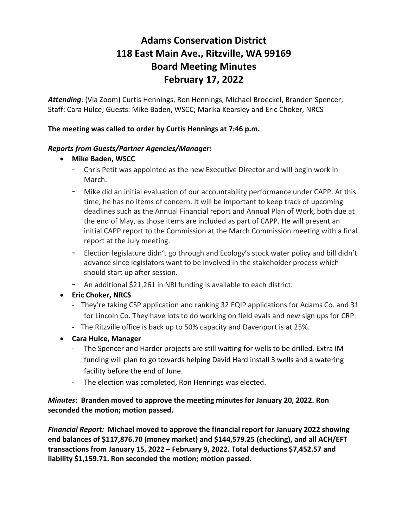# **Adams Conservation District 118 East Main Ave., Ritzville, WA 99169 Board Meeting Minutes February 17, 2022**

*Attending*: (Via Zoom) Curtis Hennings, Ron Hennings, Michael Broeckel, Branden Spencer; Staff: Cara Hulce; Guests: Mike Baden, WSCC; Marika Kearsley and Eric Choker, NRCS

## **The meeting was called to order by Curtis Hennings at 7:46 p.m.**

### *Reports from Guests/Partner Agencies/Manager:*

- **Mike Baden, WSCC**
	- Chris Petit was appointed as the new Executive Director and will begin work in March.
	- Mike did an initial evaluation of our accountability performance under CAPP. At this time, he has no items of concern. It will be important to keep track of upcoming deadlines such as the Annual Financial report and Annual Plan of Work, both due at the end of May, as those items are included as part of CAPP. He will present an initial CAPP report to the Commission at the March Commission meeting with a final report at the July meeting.
	- Election legislature didn't go through and Ecology's stock water policy and bill didn't advance since legislators want to be involved in the stakeholder process which should start up after session.
	- An additional \$21,261 in NRI funding is available to each district.
- **Eric Choker, NRCS**
	- They're taking CSP application and ranking 32 EQIP applications for Adams Co. and 31 for Lincoln Co. They have lots to do working on field evals and new sign ups for CRP.
	- The Ritzville office is back up to 50% capacity and Davenport is at 25%.
- **Cara Hulce, Manager**
	- The Spencer and Harder projects are still waiting for wells to be drilled. Extra IM funding will plan to go towards helping David Hard install 3 wells and a watering facility before the end of June.
	- The election was completed, Ron Hennings was elected.

## *Minutes***: Branden moved to approve the meeting minutes for January 20, 2022. Ron seconded the motion; motion passed.**

*Financial Report:* **Michael moved to approve the financial report for January 2022 showing end balances of \$117,876.70 (money market) and \$144,579.25 (checking), and all ACH/EFT transactions from January 15, 2022 – February 9, 2022. Total deductions \$7,452.57 and liability \$1,159.71. Ron seconded the motion; motion passed.**